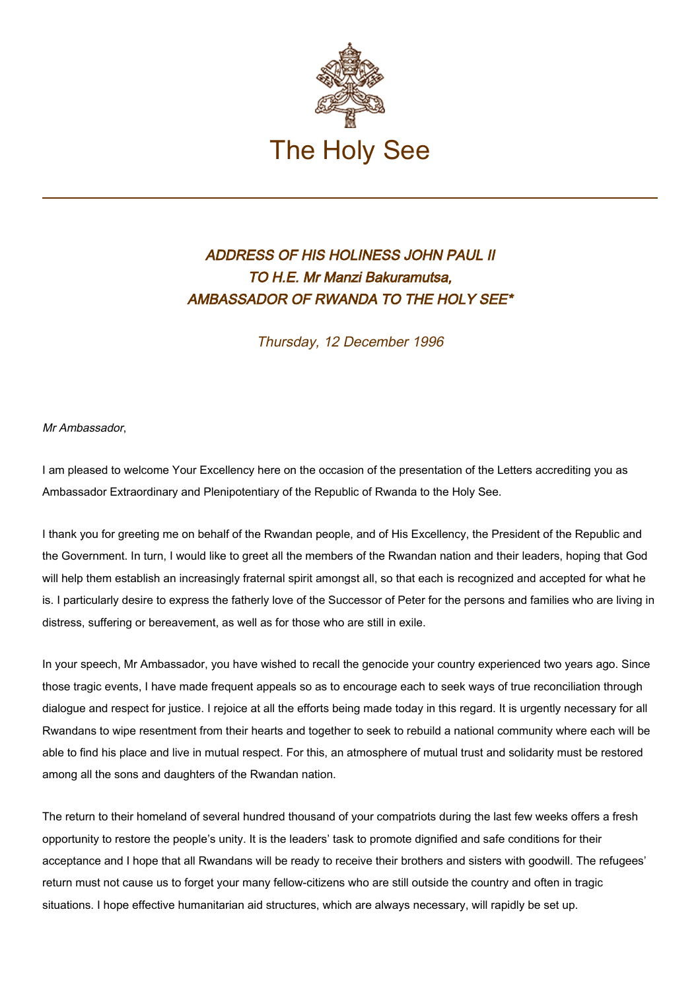

## ADDRESS OF HIS HOLINESS JOHN PAUL II TO H.E. Mr Manzi Bakuramutsa, AMBASSADOR OF RWANDA TO THE HOLY SEE\*

Thursday, 12 December 1996

Mr Ambassador,

I am pleased to welcome Your Excellency here on the occasion of the presentation of the Letters accrediting you as Ambassador Extraordinary and Plenipotentiary of the Republic of Rwanda to the Holy See.

I thank you for greeting me on behalf of the Rwandan people, and of His Excellency, the President of the Republic and the Government. In turn, I would like to greet all the members of the Rwandan nation and their leaders, hoping that God will help them establish an increasingly fraternal spirit amongst all, so that each is recognized and accepted for what he is. I particularly desire to express the fatherly love of the Successor of Peter for the persons and families who are living in distress, suffering or bereavement, as well as for those who are still in exile.

In your speech, Mr Ambassador, you have wished to recall the genocide your country experienced two years ago. Since those tragic events, I have made frequent appeals so as to encourage each to seek ways of true reconciliation through dialogue and respect for justice. I rejoice at all the efforts being made today in this regard. It is urgently necessary for all Rwandans to wipe resentment from their hearts and together to seek to rebuild a national community where each will be able to find his place and live in mutual respect. For this, an atmosphere of mutual trust and solidarity must be restored among all the sons and daughters of the Rwandan nation.

The return to their homeland of several hundred thousand of your compatriots during the last few weeks offers a fresh opportunity to restore the people's unity. It is the leaders' task to promote dignified and safe conditions for their acceptance and I hope that all Rwandans will be ready to receive their brothers and sisters with goodwill. The refugees' return must not cause us to forget your many fellow-citizens who are still outside the country and often in tragic situations. I hope effective humanitarian aid structures, which are always necessary, will rapidly be set up.